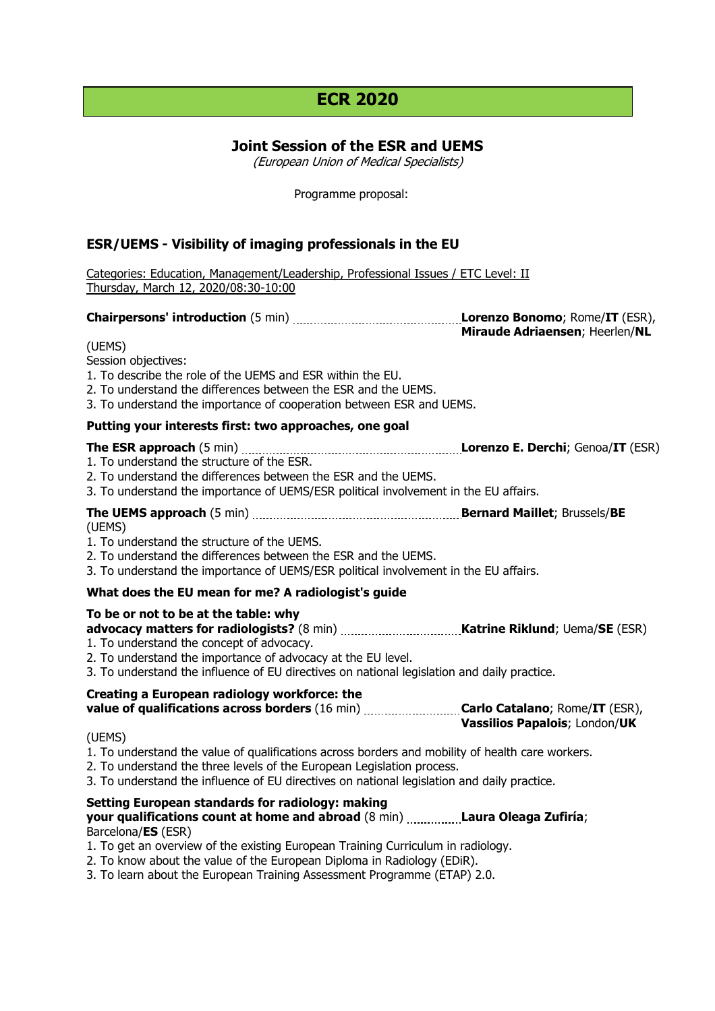# **ECR 2020**

# **Joint Session of the ESR and UEMS**

(European Union of Medical Specialists)

Programme proposal:

# **ESR/UEMS - Visibility of imaging professionals in the EU**

Categories: Education, Management/Leadership, Professional Issues / ETC Level: II Thursday, March 12, 2020/08:30-10:00

#### **Chairpersons' introduction** (5 min) **Lorenzo Bonomo**; Rome/**IT** (ESR), **Miraude Adriaensen**; Heerlen/**NL**

(UEMS)

Session objectives:

- 1. To describe the role of the UEMS and ESR within the EU.
- 2. To understand the differences between the ESR and the UEMS.
- 3. To understand the importance of cooperation between ESR and UEMS.

# **Putting your interests first: two approaches, one goal**

- **The ESR approach** (5 min) **Lotting 1 and 10 minutes Controller E. Derchi**; Genoa/IT (ESR)
- 1. To understand the structure of the ESR.
- 2. To understand the differences between the ESR and the UEMS.
- 3. To understand the importance of UEMS/ESR political involvement in the EU affairs.

#### **The UEMS approach** (5 min) **Bernard Maillet**; Brussels/BE (UEMS)

- 1. To understand the structure of the UEMS.
- 2. To understand the differences between the ESR and the UEMS.
- 3. To understand the importance of UEMS/ESR political involvement in the EU affairs.

# **What does the EU mean for me? A radiologist's guide**

#### **To be or not to be at the table: why**

- **advocacy matters for radiologists?** (8 min) **Material Contract Matrine Riklund**; Uema/SE (ESR)
- 1. To understand the concept of advocacy.
- 2. To understand the importance of advocacy at the EU level.
- 3. To understand the influence of EU directives on national legislation and daily practice.

# **Creating a European radiology workforce: the**

```
value of qualifications across borders (16 min) Carlo Catalano; Rome/IT (ESR), 
                                           Vassilios Papalois; London/UK
```
#### (UEMS)

- 1. To understand the value of qualifications across borders and mobility of health care workers.
- 2. To understand the three levels of the European Legislation process.
- 3. To understand the influence of EU directives on national legislation and daily practice.

# **Setting European standards for radiology: making**

**your qualifications count at home and abroad** (8 min) **Laura Oleaga Zufiría**; Barcelona/**ES** (ESR)

1. To get an overview of the existing European Training Curriculum in radiology.

2. To know about the value of the European Diploma in Radiology (EDiR).

3. To learn about the European Training Assessment Programme (ETAP) 2.0.